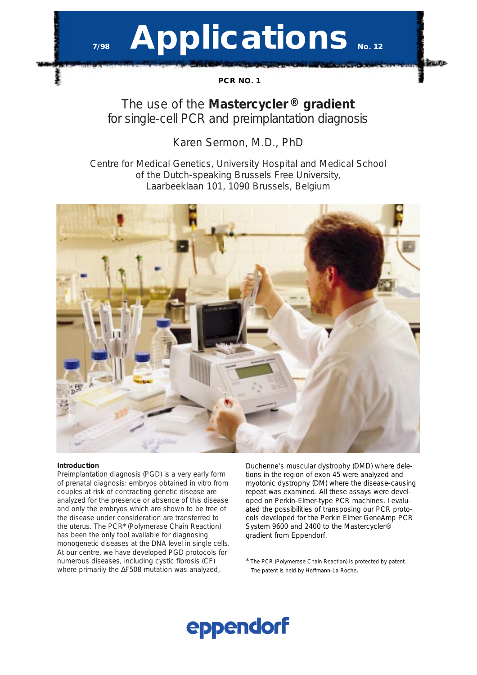# **Applications** No. 12

**PCR NO. 1**

# The use of the *Mastercycler* **®** *gradient* for single-cell PCR and preimplantation diagnosis

## Karen Sermon, M.D., PhD

Centre for Medical Genetics, University Hospital and Medical School of the Dutch-speaking Brussels Free University, Laarbeeklaan 101, 1090 Brussels, Belgium



## **Introduction**

Preimplantation diagnosis (PGD) is a very early form of prenatal diagnosis: embryos obtained *in vitro* from couples at risk of contracting genetic disease are analyzed for the presence or absence of this disease and only the embryos which are shown to be free of the disease under consideration are transferred to the uterus. The PCR\* (Polymerase Chain Reaction) has been the only tool available for diagnosing monogenetic diseases at the DNA level in single cells. At our centre, we have developed PGD protocols for numerous diseases, including cystic fibrosis (CF) where primarily the ∆F508 mutation was analyzed,

Duchenne's muscular dystrophy (DMD) where deletions in the region of exon 45 were analyzed and myotonic dystrophy (DM) where the disease-causing repeat was examined. All these assays were developed on Perkin-Elmer-type PCR machines. I evaluated the possibilities of transposing our PCR protocols developed for the Perkin Elmer GeneAmp PCR System 9600 and 2400 to the Mastercycler® gradient from Eppendorf.

\* The PCR (Polymerase Chain Reaction) is protected by patent. The patent is held by Hoffmann-La Roche.

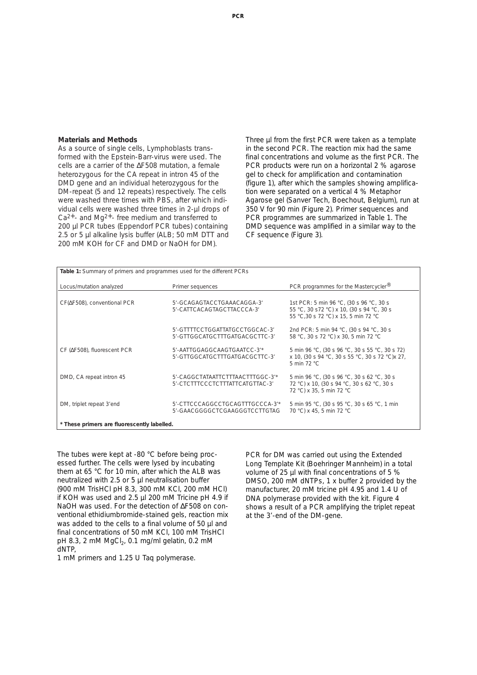#### **Materials and Methods**

As a source of single cells, Lymphoblasts transformed with the Epstein-Barr-virus were used. The cells are a carrier of the ∆F508 mutation, a female heterozygous for the CA repeat in intron 45 of the DMD gene and an individual heterozygous for the DM-repeat (5 and 12 repeats) respectively. The cells were washed three times with PBS, after which individual cells were washed three times in 2-µl drops of Ca2+- and Mg2+- free medium and transferred to 200 µl PCR tubes (Eppendorf PCR tubes) containing 2.5 or 5 µl alkaline lysis buffer (ALB; 50 mM DTT and 200 mM KOH for CF and DMD or NaOH for DM).

Three µl from the first PCR were taken as a template in the second PCR. The reaction mix had the same final concentrations and volume as the first PCR. The PCR products were run on a horizontal 2 % agarose gel to check for amplification and contamination (figure 1), after which the samples showing amplification were separated on a vertical 4 % Metaphor Agarose gel (Sanver Tech, Boechout, Belgium), run at 350 V for 90 min (Figure 2). Primer sequences and PCR programmes are summarized in Table 1. The DMD sequence was amplified in a similar way to the CF sequence (Figure 3).

| Table 1: Summary of primers and programmes used for the different PCRs |                                                                    |                                                                                                                             |  |  |
|------------------------------------------------------------------------|--------------------------------------------------------------------|-----------------------------------------------------------------------------------------------------------------------------|--|--|
|                                                                        |                                                                    |                                                                                                                             |  |  |
| Locus/mutation analyzed                                                | Primer sequences                                                   | PCR programmes for the Mastercycler <sup>®</sup>                                                                            |  |  |
|                                                                        |                                                                    |                                                                                                                             |  |  |
| CF( $\Delta$ F508), conventional PCR                                   | 5'-GCAGAGTACCTGAAACAGGA-3'<br>5'-CATTCACAGTAGCTTACCCA-3'           | 1st PCR: 5 min 96 °C, (30 s 96 °C, 30 s<br>55 °C, 30 s72 °C) x 10, (30 s 94 °C, 30 s<br>55 °C,30 s 72 °C) x 15, 5 min 72 °C |  |  |
|                                                                        | 5'-GTTTTCCTGGATTATGCCTGGCAC-3'<br>5'-GTTGGCATGCTTTGATGACGCTTC-3'   | 2nd PCR: 5 min 94 °C, (30 s 94 °C, 30 s<br>58 °C, 30 s 72 °C) x 30, 5 min 72 °C                                             |  |  |
| CF (AF508), fluorescent PCR                                            | 5'-AATTGGAGGCAAGTGAATCC-3"<br>5'-GTTGGCATGCTTTGATGACGCTTC-3'       | 5 min 96 °C, (30 s 96 °C, 30 s 55 °C, 30 s 72)<br>x 10, (30 s 94 °C, 30 s 55 °C, 30 s 72 °C) x 27,<br>5 min 72 °C           |  |  |
| DMD, CA repeat intron 45                                               | 5'-CAGGCTATAATTCTTTAACTTTGGC-3"<br>5'-CTCTTTCCCTCTTTATTCATGTTAC-3' | 5 min 96 °C, (30 s 96 °C, 30 s 62 °C, 30 s<br>72 °C) x 10, (30 s 94 °C, 30 s 62 °C, 30 s<br>72 °C) x 35, 5 min 72 °C        |  |  |
| DM, triplet repeat 3'end                                               | 5'-CTTCCCAGGCCTGCAGTTTGCCCA-3"<br>5'-GAACGGGGCTCGAAGGGTCCTTGTAG    | 5 min 95 °C, (30 s 95 °C, 30 s 65 °C, 1 min<br>70 °C) x 45, 5 min 72 °C                                                     |  |  |
| * These primers are fluorescently labelled.                            |                                                                    |                                                                                                                             |  |  |

The tubes were kept at -80 °C before being processed further. The cells were lysed by incubating them at 65 °C for 10 min, after which the ALB was neutralized with 2.5 or 5 µl neutralisation buffer (900 mM TrisHCl pH 8.3, 300 mM KCl, 200 mM HCl) if KOH was used and 2.5 µl 200 mM Tricine pH 4.9 if NaOH was used. For the detection of ∆F508 on conventional ethidiumbromide-stained gels, reaction mix was added to the cells to a final volume of 50 µl and final concentrations of 50 mM KCl, 100 mM TrisHCl pH 8.3, 2 mM  $MgCl<sub>2</sub>$ , 0.1 mg/ml gelatin, 0.2 mM dNTP,

1 mM primers and 1.25 U Taq polymerase.

PCR for DM was carried out using the Extended Long Template Kit (Boehringer Mannheim) in a total volume of 25 µl with final concentrations of 5 % DMSO, 200 mM dNTPs, 1 x buffer 2 provided by the manufacturer, 20 mM tricine pH 4.95 and 1.4 U of DNA polymerase provided with the kit. Figure 4 shows a result of a PCR amplifying the triplet repeat at the 3'-end of the DM-gene.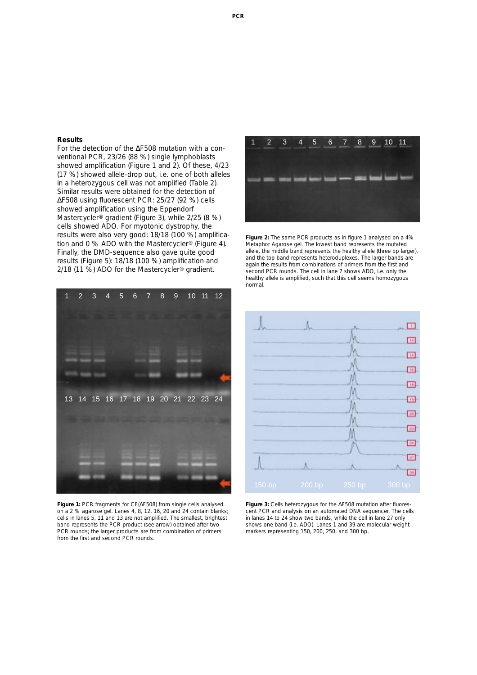### **Results**

For the detection of the ∆F508 mutation with a conventional PCR, 23/26 (88 %) single lymphoblasts showed amplification (Figure 1 and 2). Of these, 4/23 (17 %) showed allele-drop out, i.e. one of both alleles in a heterozygous cell was not amplified (Table 2). Similar results were obtained for the detection of ∆F508 using fluorescent PCR: 25/27 (92 %) cells showed amplification using the Eppendorf Mastercycler® gradient (Figure 3), while 2/25 (8 %) cells showed ADO. For myotonic dystrophy, the results were also very good: 18/18 (100 %) amplification and 0 % ADO with the Mastercycler® (Figure 4). Finally, the DMD-sequence also gave quite good results (Figure 5): 18/18 (100 %) amplification and 2/18 (11 %) ADO for the Mastercycler® gradient.



**Figure 2:** The same PCR products as in figure 1 analysed on a 4% Metaphor Agarose gel. The lowest band represents the mutated allele, the middle band represents the healthy allele (three bp larger), and the top band represents heteroduplexes. The larger bands are again the results from combinations of primers from the first and second PCR rounds. The cell in lane 7 shows ADO, i.e. only the healthy allele is amplified, such that this cell seems homozygous normal.



**Figure 1:** PCR fragments for CF(∆F508) from single cells analysed on a 2 % agarose gel. Lanes 4, 8, 12, 16, 20 and 24 contain blanks; cells in lanes 5, 11 and 13 are not amplified. The smallest, brightest band represents the PCR product (see arrow) obtained after two PCR rounds; the larger products are from combination of primers from the first and second PCR rounds.



**Figure 3:** Cells heterozygous for the ∆F508 mutation after fluorescent PCR and analysis on an automated DNA sequencer. The cells in lanes 14 to 24 show two bands, while the cell in lane 27 only shows one band (i.e. ADO). Lanes 1 and 39 are molecular weight markers representing 150, 200, 250, and 300 bp.